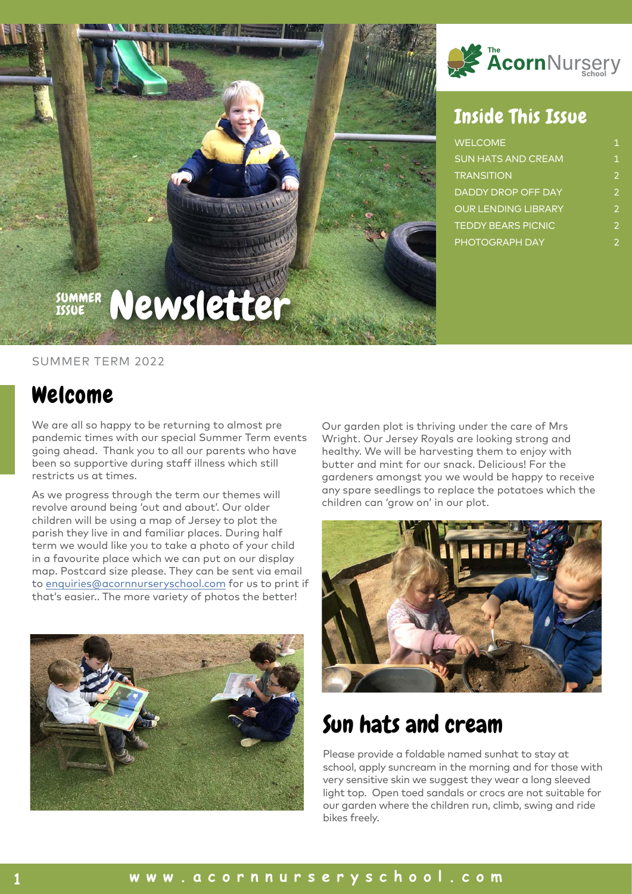

#### SUMMER TERM 2022

#### Welcome

We are all so happy to be returning to almost pre pandemic times with our special Summer Term events going ahead. Thank you to all our parents who have been so supportive during staff illness which still restricts us at times.

As we progress through the term our themes will revolve around being 'out and about'. Our older children will be using a map of Jersey to plot the parish they live in and familiar places. During half term we would like you to take a photo of your child in a favourite place which we can put on our display map. Postcard size please. They can be sent via email to [enquiries@acornnurseryschool.com](emailto:enquiries@acornnurseryschool.com) for us to print if that's easier.. The more variety of photos the better!





#### Inside This Issue

| <b>WELCOME</b>             | 1             |
|----------------------------|---------------|
| <b>SUN HATS AND CREAM</b>  | 1.            |
| <b>TRANSITION</b>          | $\mathcal{P}$ |
| DADDY DROP OFF DAY         | $\mathcal{P}$ |
| <b>OUR LENDING LIBRARY</b> | $\mathcal{P}$ |
| <b>TEDDY BEARS PICNIC</b>  | $\mathcal{P}$ |
| <b>PHOTOGRAPH DAY</b>      | $\mathcal{P}$ |

Our garden plot is thriving under the care of Mrs Wright. Our Jersey Royals are looking strong and healthy. We will be harvesting them to enjoy with butter and mint for our snack. Delicious! For the gardeners amongst you we would be happy to receive any spare seedlings to replace the potatoes which the children can 'grow on' in our plot.



## Sun hats and cream

Please provide a foldable named sunhat to stay at school, apply suncream in the morning and for those with very sensitive skin we suggest they wear a long sleeved light top. Open toed sandals or crocs are not suitable for our garden where the children run, climb, swing and ride bikes freely.